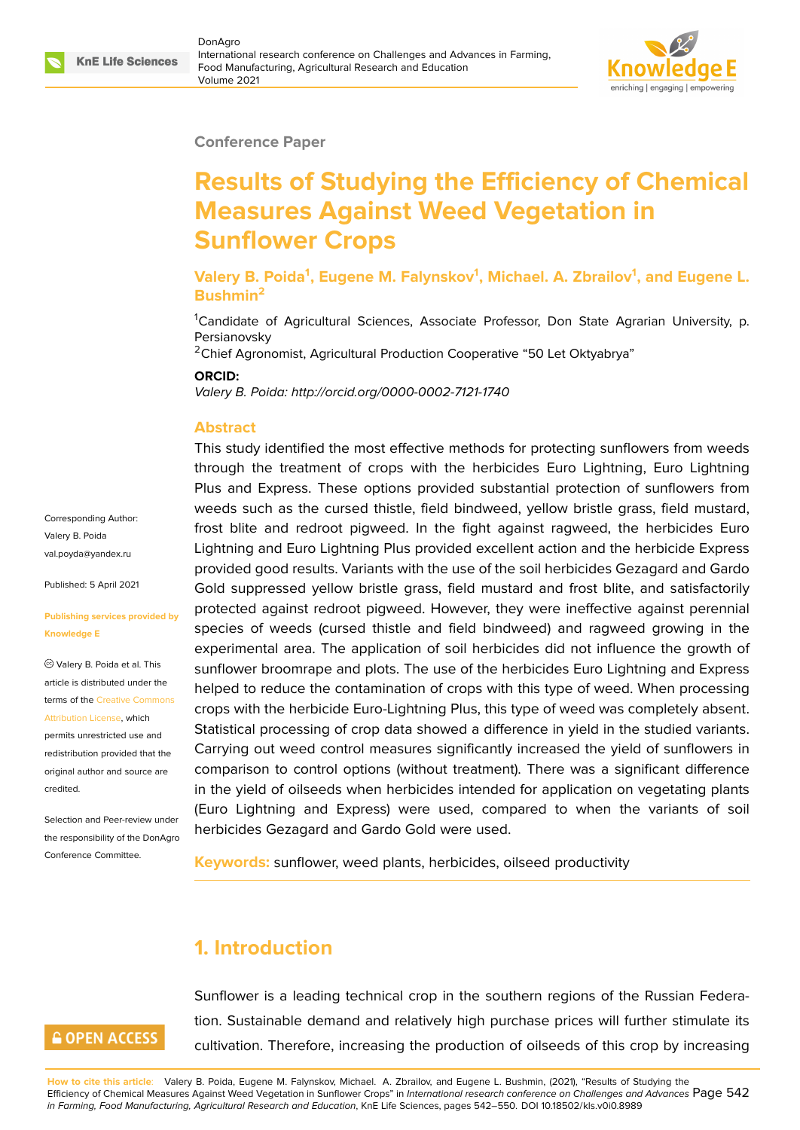### **Conference Paper**

# **Results of Studying the Efficiency of Chemical Measures Against Weed Vegetation in Sunflower Crops**

**Valery B. Poida<sup>1</sup> , Eugene M. Falynskov<sup>1</sup> , Michael. A. Zbrailov<sup>1</sup> , and Eugene L. Bushmin<sup>2</sup>**

<sup>1</sup>Candidate of Agricultural Sciences, Associate Professor, Don State Agrarian University, p. Persianovsky

<sup>2</sup>Chief Agronomist, Agricultural Production Cooperative "50 Let Oktyabrya"

#### **ORCID:**

*Valery B. Poida: http://orcid.org/0000-0002-7121-1740*

### **Abstract**

This study identified the most effective methods for protecting sunflowers from weeds through the treatment of crops with the herbicides Euro Lightning, Euro Lightning Plus and Express. These options provided substantial protection of sunflowers from weeds such as the cursed thistle, field bindweed, yellow bristle grass, field mustard, frost blite and redroot pigweed. In the fight against ragweed, the herbicides Euro Lightning and Euro Lightning Plus provided excellent action and the herbicide Express provided good results. Variants with the use of the soil herbicides Gezagard and Gardo Gold suppressed yellow bristle grass, field mustard and frost blite, and satisfactorily protected against redroot pigweed. However, they were ineffective against perennial species of weeds (cursed thistle and field bindweed) and ragweed growing in the experimental area. The application of soil herbicides did not influence the growth of sunflower broomrape and plots. The use of the herbicides Euro Lightning and Express helped to reduce the contamination of crops with this type of weed. When processing crops with the herbicide Euro-Lightning Plus, this type of weed was completely absent. Statistical processing of crop data showed a difference in yield in the studied variants. Carrying out weed control measures significantly increased the yield of sunflowers in comparison to control options (without treatment). There was a significant difference in the yield of oilseeds when herbicides intended for application on vegetating plants (Euro Lightning and Express) were used, compared to when the variants of soil herbicides Gezagard and Gardo Gold were used.

**Keywords:** sunflower, weed plants, herbicides, oilseed productivity

# **1. Introduction**

# **GOPEN ACCESS**

Sunflower is a leading technical crop in the southern regions of the Russian Federation. Sustainable demand and relatively high purchase prices will further stimulate its cultivation. Therefore, increasing the production of oilseeds of this crop by increasing

**How to cite this article**: Valery B. Poida, Eugene M. Falynskov, Michael. A. Zbrailov, and Eugene L. Bushmin, (2021), "Results of Studying the Efficiency of Chemical Measures Against Weed Vegetation in Sunflower Crops" in *International research conference on Challenges and Advances* Page 542 in Farming, Food Manufacturing, Agricultural Research and Education, KnE Life Sciences, pages 542–550. DOI 10.18502/kls.v0i0.8989

Corresponding Author: Valery B. Poida val.poyda@yandex.ru

Published: 5 April 2021

### **[Publishing services p](mailto:val.poyda@yandex.ru)rovided by Knowledge E**

Valery B. Poida et al. This article is distributed under the terms of the Creative Commons Attribution License, which

permits unrestricted use and redistribution provided that the original auth[or and source are](https://creativecommons.org/licenses/by/4.0/) [credited.](https://creativecommons.org/licenses/by/4.0/)

Selection and Peer-review under the responsibility of the DonAgro Conference Committee.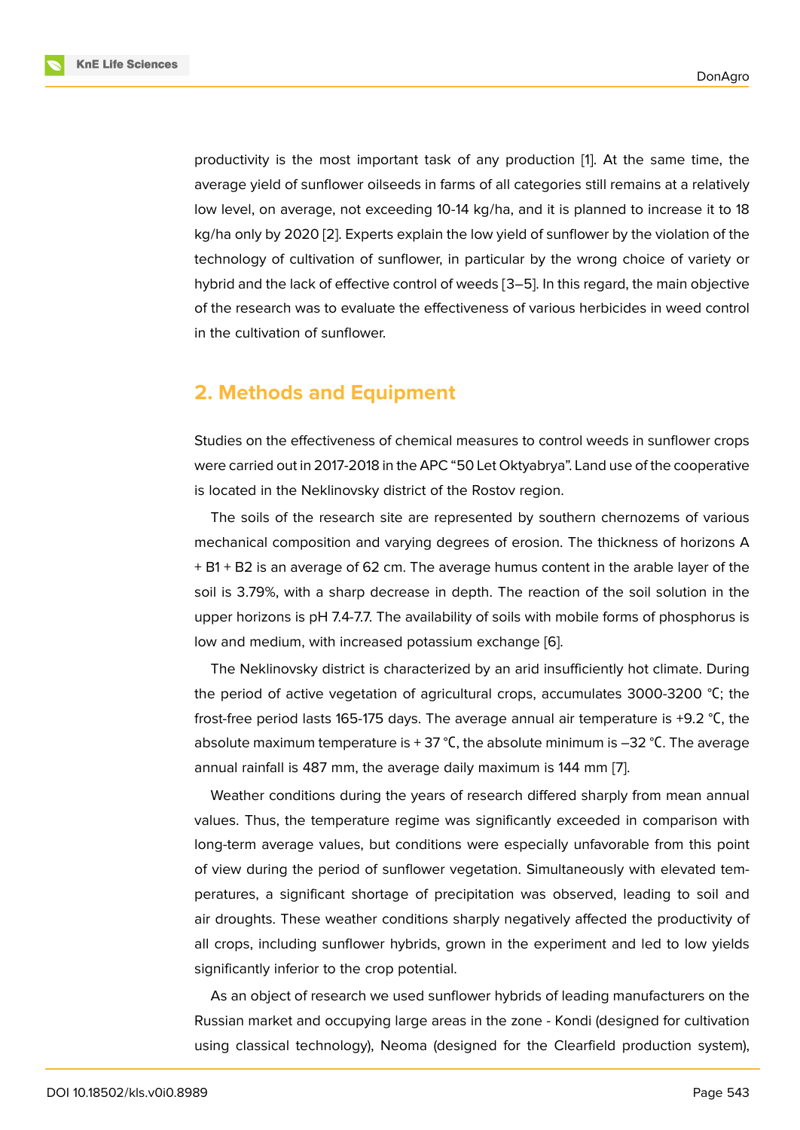productivity is the most important task of any production [1]. At the same time, the average yield of sunflower oilseeds in farms of all categories still remains at a relatively low level, on average, not exceeding 10-14 kg/ha, and it is planned to increase it to 18 kg/ha only by 2020 [2]. Experts explain the low yield of sunfl[ow](#page-7-0)er by the violation of the technology of cultivation of sunflower, in particular by the wrong choice of variety or hybrid and the lack of effective control of weeds [3–5]. In this regard, the main objective of the research was [to](#page-7-1) evaluate the effectiveness of various herbicides in weed control in the cultivation of sunflower.

# **2. Methods and Equipment**

Studies on the effectiveness of chemical measures to control weeds in sunflower crops were carried out in 2017-2018 in the APC "50 Let Oktyabrya". Land use of the cooperative is located in the Neklinovsky district of the Rostov region.

The soils of the research site are represented by southern chernozems of various mechanical composition and varying degrees of erosion. The thickness of horizons A + B1 + B2 is an average of 62 cm. The average humus content in the arable layer of the soil is 3.79%, with a sharp decrease in depth. The reaction of the soil solution in the upper horizons is pH 7.4-7.7. The availability of soils with mobile forms of phosphorus is low and medium, with increased potassium exchange [6].

The Neklinovsky district is characterized by an arid insufficiently hot climate. During the period of active vegetation of agricultural crops, accumulates 3000-3200 °С; the frost-free period lasts 165-175 days. The average annu[al](#page-8-0) air temperature is +9.2 °С, the absolute maximum temperature is  $+37$  °C, the absolute minimum is  $-32$  °C. The average annual rainfall is 487 mm, the average daily maximum is 144 mm [7].

Weather conditions during the years of research differed sharply from mean annual values. Thus, the temperature regime was significantly exceeded in comparison with long-term average values, but conditions were especially unfav[ora](#page-8-1)ble from this point of view during the period of sunflower vegetation. Simultaneously with elevated temperatures, a significant shortage of precipitation was observed, leading to soil and air droughts. These weather conditions sharply negatively affected the productivity of all crops, including sunflower hybrids, grown in the experiment and led to low yields significantly inferior to the crop potential.

As an object of research we used sunflower hybrids of leading manufacturers on the Russian market and occupying large areas in the zone - Kondi (designed for cultivation using classical technology), Neoma (designed for the Clearfield production system),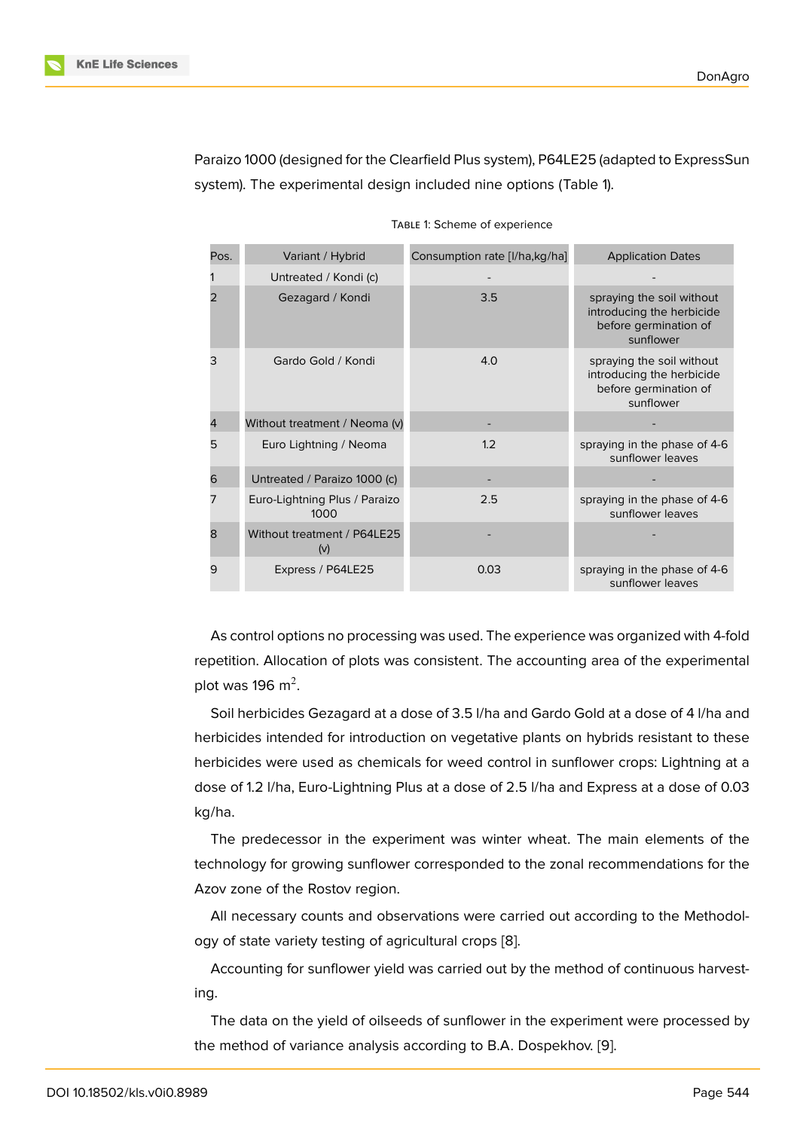Paraizo 1000 (designed for the Clearfield Plus system), P64LE25 (adapted to ExpressSun system). The experimental design included nine options (Table 1).

| Pos. | Variant / Hybrid                        | Consumption rate [I/ha,kg/ha] | <b>Application Dates</b>                                                                     |
|------|-----------------------------------------|-------------------------------|----------------------------------------------------------------------------------------------|
|      | Untreated / Kondi (c)                   |                               |                                                                                              |
| 2    | Gezagard / Kondi                        | 3.5                           | spraying the soil without<br>introducing the herbicide<br>before germination of<br>sunflower |
| з    | Gardo Gold / Kondi                      | 4.0                           | spraying the soil without<br>introducing the herbicide<br>before germination of<br>sunflower |
| 4    | Without treatment / Neoma (v)           |                               |                                                                                              |
| 5    | Euro Lightning / Neoma                  | 1.2                           | spraying in the phase of 4-6<br>sunflower leaves                                             |
| 6    | Untreated / Paraizo 1000 (c)            |                               |                                                                                              |
|      | Euro-Lightning Plus / Paraizo<br>1000   | 2.5                           | spraying in the phase of 4-6<br>sunflower leaves                                             |
| 8    | Without treatment / P64LE25<br>$(\vee)$ |                               |                                                                                              |
| 9    | Express / P64LE25                       | 0.03                          | spraying in the phase of 4-6<br>sunflower leaves                                             |

TABLE 1: Scheme of experience

As control options no processing was used. The experience was organized with 4-fold repetition. Allocation of plots was consistent. The accounting area of the experimental plot was 196 m<sup>2</sup>.

Soil herbicides Gezagard at a dose of 3.5 l/ha and Gardo Gold at a dose of 4 l/ha and herbicides intended for introduction on vegetative plants on hybrids resistant to these herbicides were used as chemicals for weed control in sunflower crops: Lightning at a dose of 1.2 l/ha, Euro-Lightning Plus at a dose of 2.5 l/ha and Express at a dose of 0.03 kg/ha.

The predecessor in the experiment was winter wheat. The main elements of the technology for growing sunflower corresponded to the zonal recommendations for the Azov zone of the Rostov region.

All necessary counts and observations were carried out according to the Methodology of state variety testing of agricultural crops [8].

Accounting for sunflower yield was carried out by the method of continuous harvesting.

The data on the yield of oilseeds of sunflowe[r in](#page-8-2) the experiment were processed by the method of variance analysis according to B.A. Dospekhov. [9].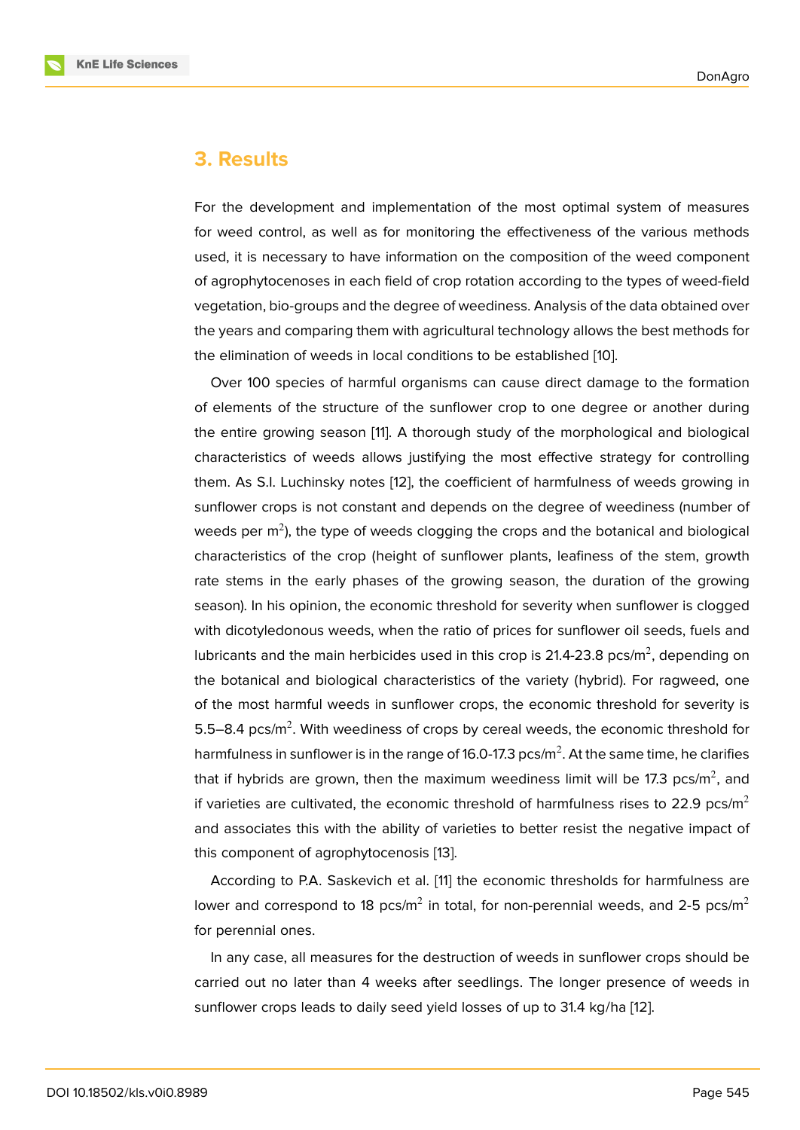### **3. Results**

For the development and implementation of the most optimal system of measures for weed control, as well as for monitoring the effectiveness of the various methods used, it is necessary to have information on the composition of the weed component of agrophytocenoses in each field of crop rotation according to the types of weed-field vegetation, bio-groups and the degree of weediness. Analysis of the data obtained over the years and comparing them with agricultural technology allows the best methods for the elimination of weeds in local conditions to be established [10].

Over 100 species of harmful organisms can cause direct damage to the formation of elements of the structure of the sunflower crop to one degree or another during the entire growing season [11]. A thorough study of the morp[hol](#page-8-3)ogical and biological characteristics of weeds allows justifying the most effective strategy for controlling them. As S.I. Luchinsky notes [12], the coefficient of harmfulness of weeds growing in sunflower crops is not cons[tan](#page-8-4)t and depends on the degree of weediness (number of weeds per m $^2$ ), the type of weeds clogging the crops and the botanical and biological characteristics of the crop (he[igh](#page-8-5)t of sunflower plants, leafiness of the stem, growth rate stems in the early phases of the growing season, the duration of the growing season). In his opinion, the economic threshold for severity when sunflower is clogged with dicotyledonous weeds, when the ratio of prices for sunflower oil seeds, fuels and lubricants and the main herbicides used in this crop is 21.4-23.8 pcs/m<sup>2</sup>, depending on the botanical and biological characteristics of the variety (hybrid). For ragweed, one of the most harmful weeds in sunflower crops, the economic threshold for severity is 5.5–8.4 pcs/m<sup>2</sup>. With weediness of crops by cereal weeds, the economic threshold for harmfulness in sunflower is in the range of 16.0-17.3 pcs/m $^2$ . At the same time, he clarifies that if hybrids are grown, then the maximum weediness limit will be 17.3 pcs/m $^2$ , and if varieties are cultivated, the economic threshold of harmfulness rises to 22.9 pcs/ $m^2$ and associates this with the ability of varieties to better resist the negative impact of this component of agrophytocenosis [13].

According to P.A. Saskevich et al. [11] the economic thresholds for harmfulness are lower and correspond to 18 pcs/m<sup>2</sup> in total, for non-perennial weeds, and 2-5 pcs/m<sup>2</sup> for perennial ones.

In any case, all measures for the d[est](#page-8-4)ruction of weeds in sunflower crops should be carried out no later than 4 weeks after seedlings. The longer presence of weeds in sunflower crops leads to daily seed yield losses of up to 31.4 kg/ha [12].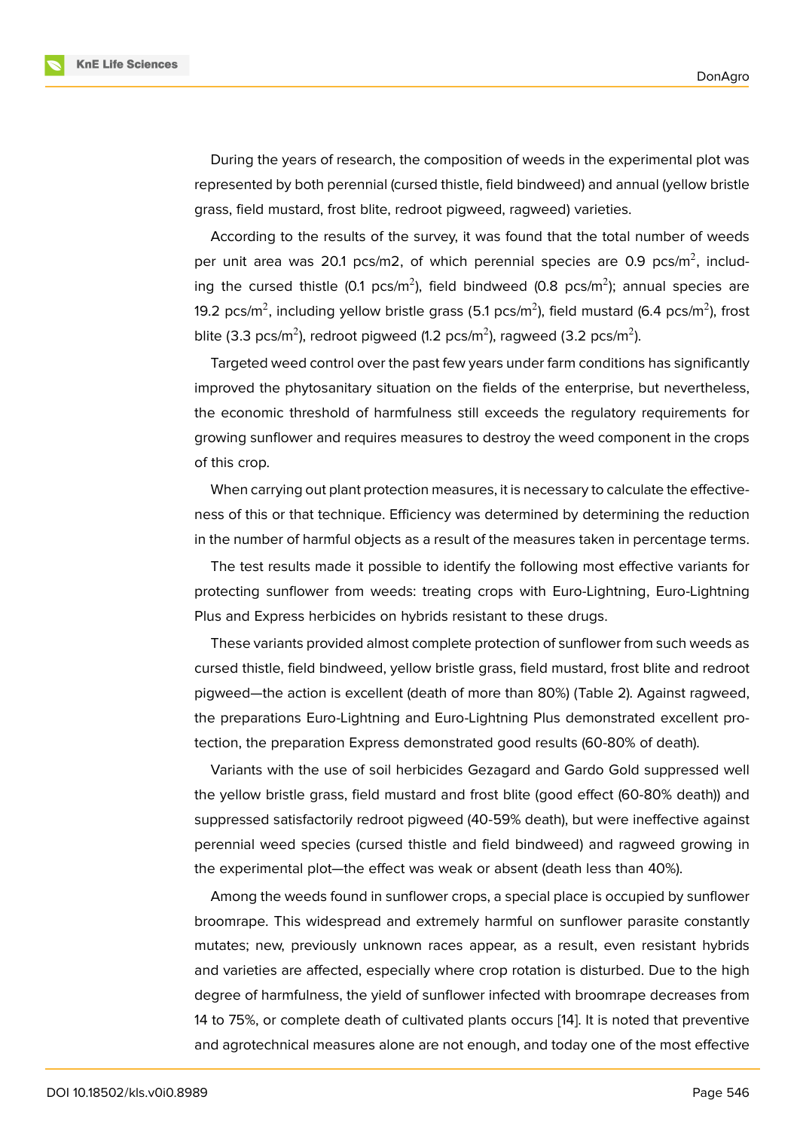During the years of research, the composition of weeds in the experimental plot was represented by both perennial (cursed thistle, field bindweed) and annual (yellow bristle grass, field mustard, frost blite, redroot pigweed, ragweed) varieties.

According to the results of the survey, it was found that the total number of weeds per unit area was 20.1 pcs/m2, of which perennial species are 0.9 pcs/m<sup>2</sup>, including the cursed thistle (0.1 pcs/m<sup>2</sup>), field bindweed (0.8 pcs/m<sup>2</sup>); annual species are 19.2 pcs/m $^2$ , including yellow bristle grass (5.1 pcs/m $^2$ ), field mustard (6.4 pcs/m $^2$ ), frost blite (3.3 pcs/m<sup>2</sup>), redroot pigweed (1.2 pcs/m<sup>2</sup>), ragweed (3.2 pcs/m<sup>2</sup>).

Targeted weed control over the past few years under farm conditions has significantly improved the phytosanitary situation on the fields of the enterprise, but nevertheless, the economic threshold of harmfulness still exceeds the regulatory requirements for growing sunflower and requires measures to destroy the weed component in the crops of this crop.

When carrying out plant protection measures, it is necessary to calculate the effectiveness of this or that technique. Efficiency was determined by determining the reduction in the number of harmful objects as a result of the measures taken in percentage terms.

The test results made it possible to identify the following most effective variants for protecting sunflower from weeds: treating crops with Euro-Lightning, Euro-Lightning Plus and Express herbicides on hybrids resistant to these drugs.

These variants provided almost complete protection of sunflower from such weeds as cursed thistle, field bindweed, yellow bristle grass, field mustard, frost blite and redroot pigweed—the action is excellent (death of more than 80%) (Table 2). Against ragweed, the preparations Euro-Lightning and Euro-Lightning Plus demonstrated excellent protection, the preparation Express demonstrated good results (60-80% of death).

Variants with the use of soil herbicides Gezagard and Gardo Gold suppressed well the yellow bristle grass, field mustard and frost blite (good effect (60-80% death)) and suppressed satisfactorily redroot pigweed (40-59% death), but were ineffective against perennial weed species (cursed thistle and field bindweed) and ragweed growing in the experimental plot—the effect was weak or absent (death less than 40%).

Among the weeds found in sunflower crops, a special place is occupied by sunflower broomrape. This widespread and extremely harmful on sunflower parasite constantly mutates; new, previously unknown races appear, as a result, even resistant hybrids and varieties are affected, especially where crop rotation is disturbed. Due to the high degree of harmfulness, the yield of sunflower infected with broomrape decreases from 14 to 75%, or complete death of cultivated plants occurs [14]. It is noted that preventive and agrotechnical measures alone are not enough, and today one of the most effective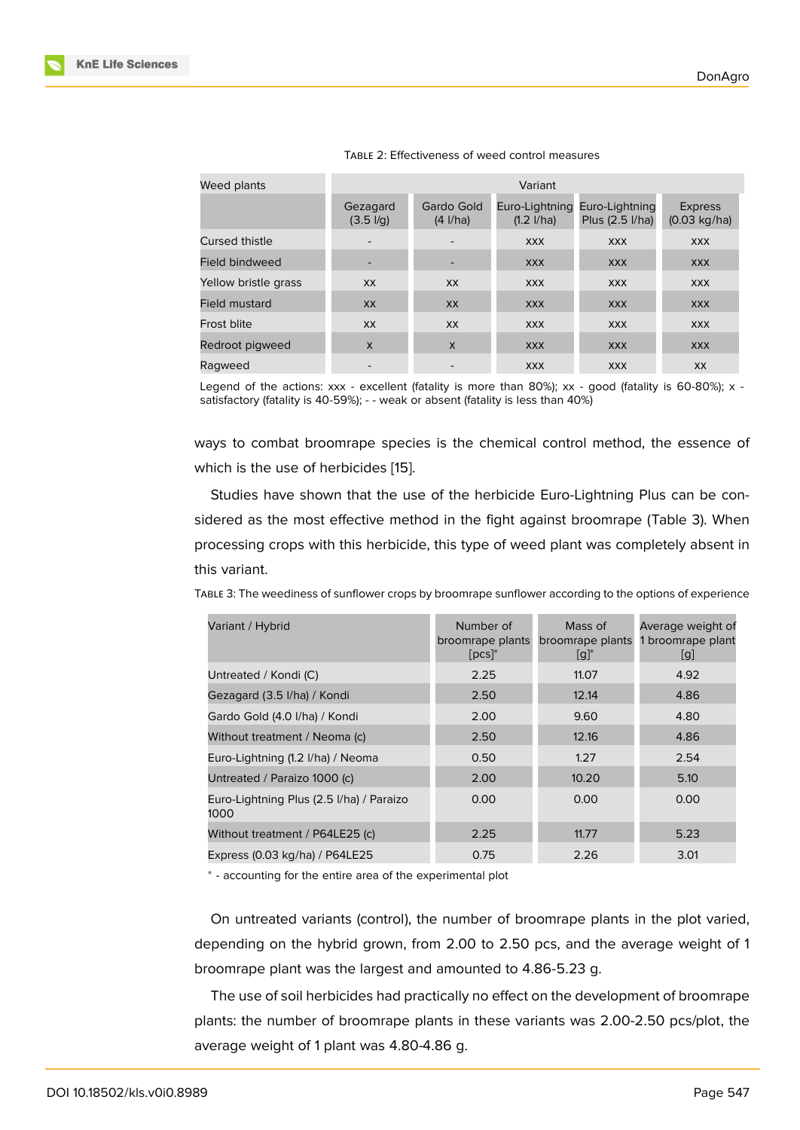| Weed plants          | Variant                                       |                                  |                                        |                                   |                                          |  |
|----------------------|-----------------------------------------------|----------------------------------|----------------------------------------|-----------------------------------|------------------------------------------|--|
|                      | Gezagard<br>$(3.5 \frac{\text{I}}{\text{q}})$ | Gardo Gold<br>$(4 \text{ I/ha})$ | Euro-Lightning<br>$(1.2 \text{ I/ha})$ | Euro-Lightning<br>Plus (2.5 l/ha) | <b>Express</b><br>$(0.03 \text{ kg/ha})$ |  |
| Cursed thistle       |                                               |                                  | <b>XXX</b>                             | <b>XXX</b>                        | <b>XXX</b>                               |  |
| Field bindweed       |                                               |                                  | <b>XXX</b>                             | <b>XXX</b>                        | <b>XXX</b>                               |  |
| Yellow bristle grass | XX.                                           | <b>XX</b>                        | <b>XXX</b>                             | <b>XXX</b>                        | <b>XXX</b>                               |  |
| Field mustard        | XX                                            | <b>XX</b>                        | <b>XXX</b>                             | <b>XXX</b>                        | <b>XXX</b>                               |  |
| <b>Frost blite</b>   | <b>XX</b>                                     | <b>XX</b>                        | <b>XXX</b>                             | <b>XXX</b>                        | <b>XXX</b>                               |  |
| Redroot pigweed      | $\boldsymbol{\mathsf{X}}$                     | $\mathsf{X}$                     | <b>XXX</b>                             | <b>XXX</b>                        | <b>XXX</b>                               |  |
| Ragweed              |                                               |                                  | <b>XXX</b>                             | <b>XXX</b>                        | XX                                       |  |

#### TABLE 2: Effectiveness of weed control measures

Legend of the actions: xxx - excellent (fatality is more than 80%); xx - good (fatality is 60-80%); x satisfactory (fatality is 40-59%); - - weak or absent (fatality is less than 40%)

ways to combat broomrape species is the chemical control method, the essence of which is the use of herbicides [15].

Studies have shown that the use of the herbicide Euro-Lightning Plus can be considered as the most effective method in the fight against broomrape (Table 3). When processing crops with this her[bici](#page-8-6)de, this type of weed plant was completely absent in this variant.

| Variant / Hybrid                                 | Number of<br>broomrape plants<br>$[PCS]^{*}$ | Mass of<br>broomrape plants<br>$[g]^*$ | Average weight of<br>1 broomrape plant<br>[g] |
|--------------------------------------------------|----------------------------------------------|----------------------------------------|-----------------------------------------------|
| Untreated / Kondi (C)                            | 2.25                                         | 11.07                                  | 4.92                                          |
| Gezagard (3.5 I/ha) / Kondi                      | 2.50                                         | 12.14                                  | 4.86                                          |
| Gardo Gold (4.0 I/ha) / Kondi                    | 2.00                                         | 9.60                                   | 4.80                                          |
| Without treatment / Neoma (c)                    | 2.50                                         | 12.16                                  | 4.86                                          |
| Euro-Lightning (1.2 I/ha) / Neoma                | 0.50                                         | 1.27                                   | 2.54                                          |
| Untreated / Paraizo 1000 (c)                     | 2.00                                         | 10.20                                  | 5.10                                          |
| Euro-Lightning Plus (2.5 I/ha) / Paraizo<br>1000 | 0.00                                         | 0.00                                   | 0.00                                          |
| Without treatment / P64LE25 (c)                  | 2.25                                         | 11.77                                  | 5.23                                          |
| Express (0.03 kg/ha) / P64LE25                   | 0.75                                         | 2.26                                   | 3.01                                          |

TABLE 3: The weediness of sunflower crops by broomrape sunflower according to the options of experience

∗ - accounting for the entire area of the experimental plot

On untreated variants (control), the number of broomrape plants in the plot varied, depending on the hybrid grown, from 2.00 to 2.50 pcs, and the average weight of 1 broomrape plant was the largest and amounted to 4.86-5.23 g.

The use of soil herbicides had practically no effect on the development of broomrape plants: the number of broomrape plants in these variants was 2.00-2.50 pcs/plot, the average weight of 1 plant was 4.80-4.86 g.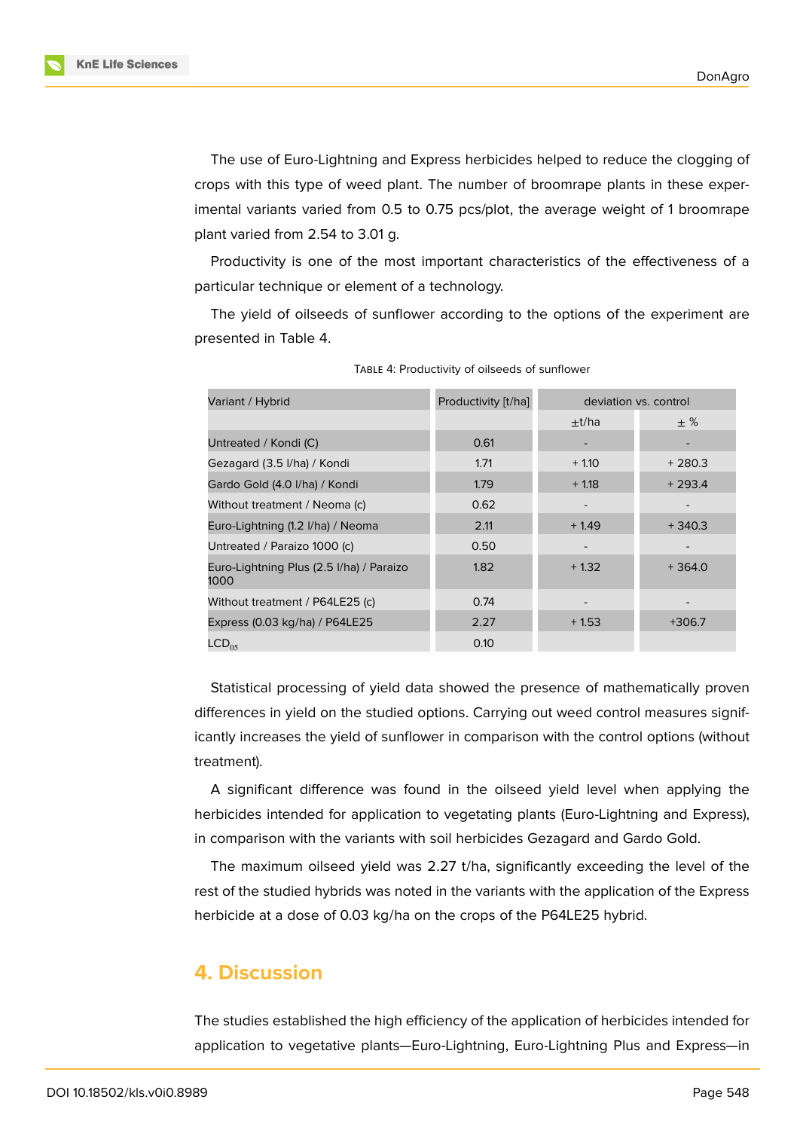**KnE Life Sciences** 

The use of Euro-Lightning and Express herbicides helped to reduce the clogging of crops with this type of weed plant. The number of broomrape plants in these experimental variants varied from 0.5 to 0.75 pcs/plot, the average weight of 1 broomrape plant varied from 2.54 to 3.01 g.

Productivity is one of the most important characteristics of the effectiveness of a particular technique or element of a technology.

The yield of oilseeds of sunflower according to the options of the experiment are presented in Table 4.

| Variant / Hybrid                                 | Productivity [t/ha] | deviation vs. control |          |
|--------------------------------------------------|---------------------|-----------------------|----------|
|                                                  |                     | $\pm t/ha$            | ± %      |
| Untreated / Kondi (C)                            | 0.61                |                       |          |
| Gezagard (3.5 I/ha) / Kondi                      | 1.71                | $+1.10$               | $+280.3$ |
| Gardo Gold (4.0 I/ha) / Kondi                    | 1.79                | $+1.18$               | $+293.4$ |
| Without treatment / Neoma (c)                    | 0.62                |                       |          |
| Euro-Lightning (1.2 I/ha) / Neoma                | 2.11                | $+1.49$               | $+340.3$ |
| Untreated / Paraizo 1000 (c)                     | 0.50                |                       |          |
| Euro-Lightning Plus (2.5 I/ha) / Paraizo<br>1000 | 1.82                | $+1.32$               | $+364.0$ |
| Without treatment / P64LE25 (c)                  | 0.74                |                       |          |
| Express (0.03 kg/ha) / P64LE25                   | 2.27                | $+1.53$               | $+306.7$ |
| $LCD_{05}$                                       | 0.10                |                       |          |

TABLE 4: Productivity of oilseeds of sunflower

Statistical processing of yield data showed the presence of mathematically proven differences in yield on the studied options. Carrying out weed control measures significantly increases the yield of sunflower in comparison with the control options (without treatment).

A significant difference was found in the oilseed yield level when applying the herbicides intended for application to vegetating plants (Euro-Lightning and Express), in comparison with the variants with soil herbicides Gezagard and Gardo Gold.

The maximum oilseed yield was 2.27 t/ha, significantly exceeding the level of the rest of the studied hybrids was noted in the variants with the application of the Express herbicide at a dose of 0.03 kg/ha on the crops of the P64LE25 hybrid.

### **4. Discussion**

The studies established the high efficiency of the application of herbicides intended for application to vegetative plants—Euro-Lightning, Euro-Lightning Plus and Express—in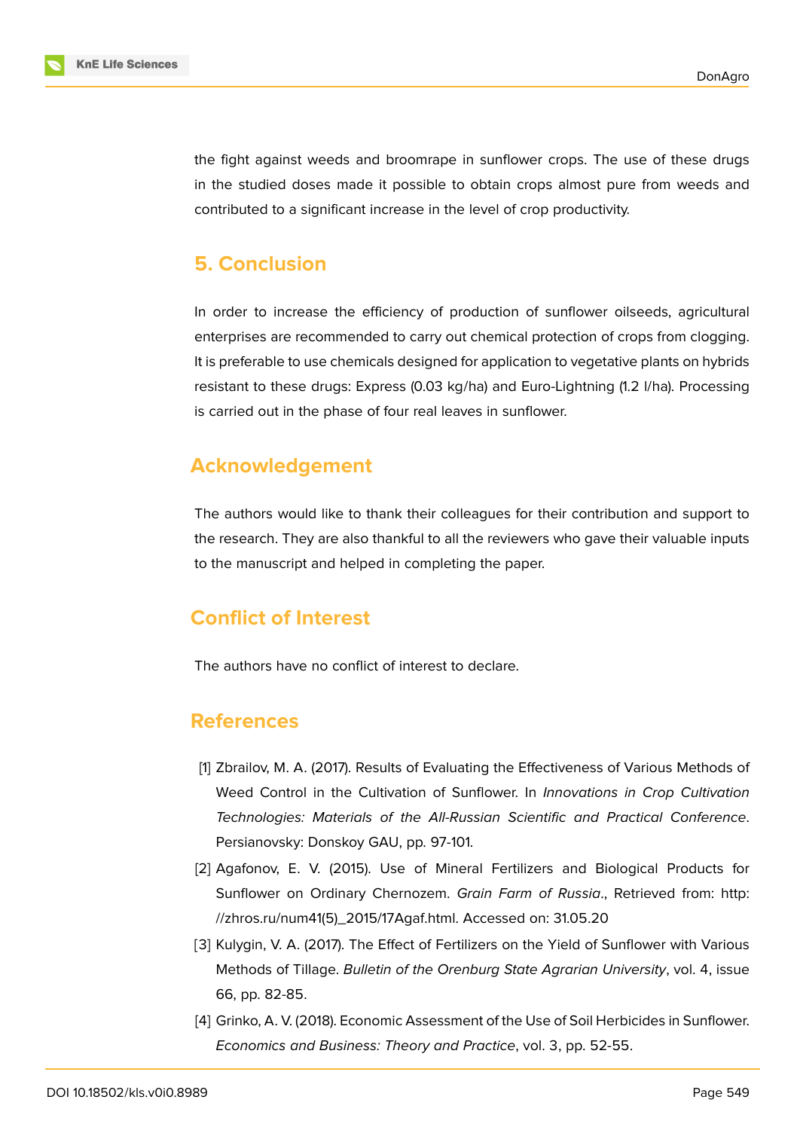the fight against weeds and broomrape in sunflower crops. The use of these drugs in the studied doses made it possible to obtain crops almost pure from weeds and contributed to a significant increase in the level of crop productivity.

# **5. Conclusion**

In order to increase the efficiency of production of sunflower oilseeds, agricultural enterprises are recommended to carry out chemical protection of crops from clogging. It is preferable to use chemicals designed for application to vegetative plants on hybrids resistant to these drugs: Express (0.03 kg/ha) and Euro-Lightning (1.2 l/ha). Processing is carried out in the phase of four real leaves in sunflower.

# **Acknowledgement**

The authors would like to thank their colleagues for their contribution and support to the research. They are also thankful to all the reviewers who gave their valuable inputs to the manuscript and helped in completing the paper.

# **Conflict of Interest**

The authors have no conflict of interest to declare.

## **References**

- [1] Zbrailov, M. A. (2017). Results of Evaluating the Effectiveness of Various Methods of Weed Control in the Cultivation of Sunflower. In *Innovations in Crop Cultivation Technologies: Materials of the All-Russian Scientific and Practical Conference*. Persianovsky: Donskoy GAU, pp. 97-101.
- <span id="page-7-0"></span>[2] Agafonov, E. V. (2015). Use of Mineral Fertilizers and Biological Products for Sunflower on Ordinary Chernozem. *Grain Farm of Russia*., Retrieved from: http: //zhros.ru/num41(5)\_2015/17Agaf.html. Accessed on: 31.05.20
- <span id="page-7-1"></span>[3] Kulygin, V. A. (2017). The Effect of Fertilizers on the Yield of Sunflower with Various Methods of Tillage. *Bulletin of the Orenburg State Agrarian University*, vol. 4, i[ssue](http://zhros.ru/num41(5)_2015/17Agaf.html) [66, pp. 82-85.](http://zhros.ru/num41(5)_2015/17Agaf.html)
- [4] Grinko, A. V. (2018). Economic Assessment of the Use of Soil Herbicides in Sunflower. *Economics and Business: Theory and Practice*, vol. 3, pp. 52-55.